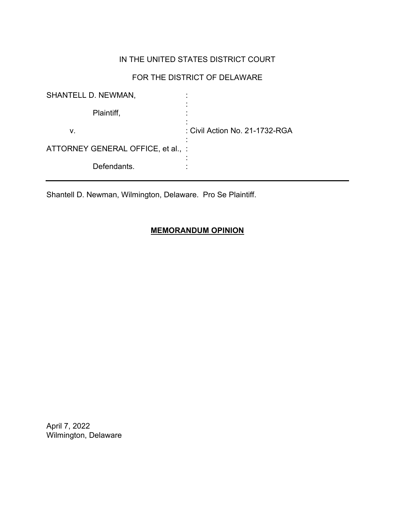# IN THE UNITED STATES DISTRICT COURT

# FOR THE DISTRICT OF DELAWARE

| <b>SHANTELL D. NEWMAN,</b>         | ٠                              |
|------------------------------------|--------------------------------|
| Plaintiff,                         |                                |
| v.                                 | : Civil Action No. 21-1732-RGA |
| ATTORNEY GENERAL OFFICE, et al., : |                                |
| Defendants.                        |                                |

Shantell D. Newman, Wilmington, Delaware. Pro Se Plaintiff.

## **MEMORANDUM OPINION**

April 7, 2022 Wilmington, Delaware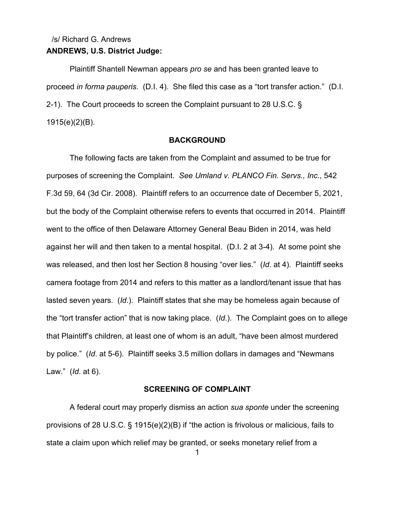# **ANDREWS, U.S. District Judge:** /s/ Richard G. Andrews

Plaintiff Shantell Newman appears *pro se* and has been granted leave to proceed *in forma pauperis*. (D.I. 4). She filed this case as a "tort transfer action." (D.I. 2-1). The Court proceeds to screen the Complaint pursuant to 28 U.S.C. § 1915(e)(2)(B).

### **BACKGROUND**

The following facts are taken from the Complaint and assumed to be true for purposes of screening the Complaint. *See Umland v. PLANCO Fin. Servs., Inc.*, 542 F.3d 59, 64 (3d Cir. 2008). Plaintiff refers to an occurrence date of December 5, 2021, but the body of the Complaint otherwise refers to events that occurred in 2014. Plaintiff went to the office of then Delaware Attorney General Beau Biden in 2014, was held against her will and then taken to a mental hospital. (D.I. 2 at 3-4). At some point she was released, and then lost her Section 8 housing "over lies." (*Id*. at 4). Plaintiff seeks camera footage from 2014 and refers to this matter as a landlord/tenant issue that has lasted seven years. (*Id*.). Plaintiff states that she may be homeless again because of the "tort transfer action" that is now taking place. (*Id*.). The Complaint goes on to allege that Plaintiff's children, at least one of whom is an adult, "have been almost murdered by police." (*Id*. at 5-6). Plaintiff seeks 3.5 million dollars in damages and "Newmans Law." (*Id*. at 6).

### **SCREENING OF COMPLAINT**

A federal court may properly dismiss an action *sua sponte* under the screening provisions of 28 U.S.C. § 1915(e)(2)(B) if "the action is frivolous or malicious, fails to state a claim upon which relief may be granted, or seeks monetary relief from a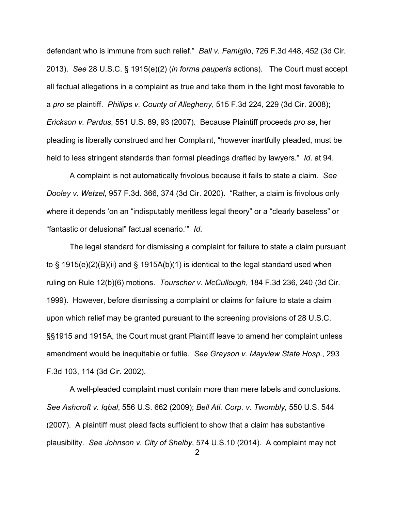defendant who is immune from such relief." *Ball v. Famiglio*, 726 F.3d 448, 452 (3d Cir. 2013). *See* 28 U.S.C. § 1915(e)(2) (*in forma pauperis* actions). The Court must accept all factual allegations in a complaint as true and take them in the light most favorable to a *pro se* plaintiff. *Phillips v. County of Allegheny*, 515 F.3d 224, 229 (3d Cir. 2008); *Erickson v. Pardus*, 551 U.S. 89, 93 (2007). Because Plaintiff proceeds *pro se*, her pleading is liberally construed and her Complaint, "however inartfully pleaded, must be held to less stringent standards than formal pleadings drafted by lawyers." *Id*. at 94.

A complaint is not automatically frivolous because it fails to state a claim. *See Dooley v. Wetzel*, 957 F.3d. 366, 374 (3d Cir. 2020). "Rather, a claim is frivolous only where it depends 'on an "indisputably meritless legal theory" or a "clearly baseless" or "fantastic or delusional" factual scenario.'" *Id*.

The legal standard for dismissing a complaint for failure to state a claim pursuant to § 1915(e)(2)(B)(ii) and § 1915A(b)(1) is identical to the legal standard used when ruling on Rule 12(b)(6) motions. *Tourscher v. McCullough*, 184 F.3d 236, 240 (3d Cir. 1999). However, before dismissing a complaint or claims for failure to state a claim upon which relief may be granted pursuant to the screening provisions of 28 U.S.C. §§1915 and 1915A, the Court must grant Plaintiff leave to amend her complaint unless amendment would be inequitable or futile. *See Grayson v. Mayview State Hosp.*, 293 F.3d 103, 114 (3d Cir. 2002).

A well-pleaded complaint must contain more than mere labels and conclusions. *See Ashcroft v. Iqbal*, 556 U.S. 662 (2009); *Bell Atl. Corp. v. Twombly*, 550 U.S. 544 (2007). A plaintiff must plead facts sufficient to show that a claim has substantive plausibility. *See Johnson v. City of Shelby*, 574 U.S.10 (2014). A complaint may not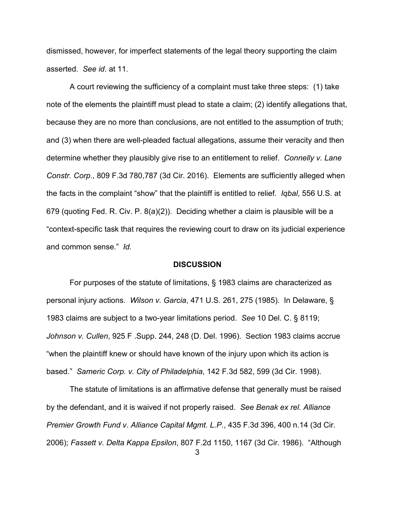dismissed, however, for imperfect statements of the legal theory supporting the claim asserted. *See id*. at 11.

A court reviewing the sufficiency of a complaint must take three steps: (1) take note of the elements the plaintiff must plead to state a claim; (2) identify allegations that, because they are no more than conclusions, are not entitled to the assumption of truth; and (3) when there are well-pleaded factual allegations, assume their veracity and then determine whether they plausibly give rise to an entitlement to relief. *Connelly v. Lane Constr. Corp*., 809 F.3d 780,787 (3d Cir. 2016). Elements are sufficiently alleged when the facts in the complaint "show" that the plaintiff is entitled to relief. *Iqbal*, 556 U.S. at 679 (quoting Fed. R. Civ. P. 8(a)(2)). Deciding whether a claim is plausible will be a "context-specific task that requires the reviewing court to draw on its judicial experience and common sense." *Id.*

#### **DISCUSSION**

For purposes of the statute of limitations, § 1983 claims are characterized as personal injury actions. *Wilson v. Garcia*, 471 U.S. 261, 275 (1985). In Delaware, § 1983 claims are subject to a two-year limitations period. *See* 10 Del. C. § 8119; *Johnson v. Cullen*, 925 F .Supp. 244, 248 (D. Del. 1996). Section 1983 claims accrue "when the plaintiff knew or should have known of the injury upon which its action is based." *Sameric Corp. v. City of Philadelphia*, 142 F.3d 582, 599 (3d Cir. 1998).

The statute of limitations is an affirmative defense that generally must be raised by the defendant, and it is waived if not properly raised. *See Benak ex rel. Alliance Premier Growth Fund v. Alliance Capital Mgmt. L.P*., 435 F.3d 396, 400 n.14 (3d Cir. 2006); *Fassett v. Delta Kappa Epsilon*, 807 F.2d 1150, 1167 (3d Cir. 1986). "Although

3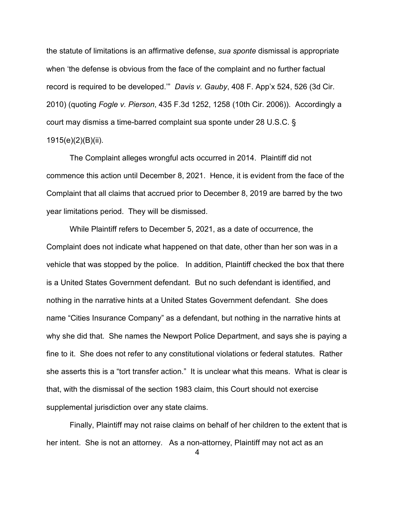the statute of limitations is an affirmative defense, *sua sponte* dismissal is appropriate when 'the defense is obvious from the face of the complaint and no further factual record is required to be developed.'" *Davis v. Gauby*, 408 F. App'x 524, 526 (3d Cir. 2010) (quoting *Fogle v. Pierson*, 435 F.3d 1252, 1258 (10th Cir. 2006)). Accordingly a court may dismiss a time-barred complaint sua sponte under 28 U.S.C. § 1915(e)(2)(B)(ii).

The Complaint alleges wrongful acts occurred in 2014. Plaintiff did not commence this action until December 8, 2021. Hence, it is evident from the face of the Complaint that all claims that accrued prior to December 8, 2019 are barred by the two year limitations period. They will be dismissed.

While Plaintiff refers to December 5, 2021, as a date of occurrence, the Complaint does not indicate what happened on that date, other than her son was in a vehicle that was stopped by the police. In addition, Plaintiff checked the box that there is a United States Government defendant. But no such defendant is identified, and nothing in the narrative hints at a United States Government defendant. She does name "Cities Insurance Company" as a defendant, but nothing in the narrative hints at why she did that. She names the Newport Police Department, and says she is paying a fine to it. She does not refer to any constitutional violations or federal statutes. Rather she asserts this is a "tort transfer action." It is unclear what this means. What is clear is that, with the dismissal of the section 1983 claim, this Court should not exercise supplemental jurisdiction over any state claims.

Finally, Plaintiff may not raise claims on behalf of her children to the extent that is her intent. She is not an attorney. As a non-attorney, Plaintiff may not act as an

4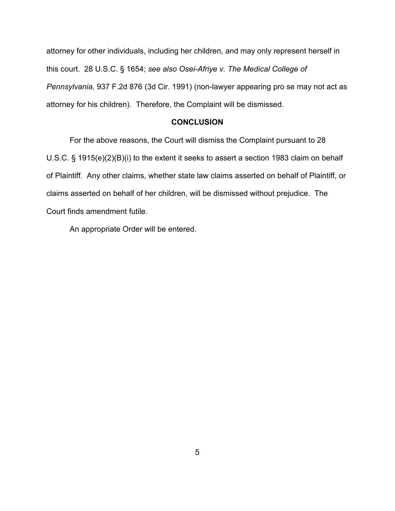attorney for other individuals, including her children, and may only represent herself in this court. 28 U.S.C. § 1654; *see also Osei-Afriye v. The Medical College of Pennsylvania*, 937 F.2d 876 (3d Cir. 1991) (non-lawyer appearing pro se may not act as attorney for his children). Therefore, the Complaint will be dismissed.

### **CONCLUSION**

For the above reasons, the Court will dismiss the Complaint pursuant to 28 U.S.C. § 1915(e)(2)(B)(i) to the extent it seeks to assert a section 1983 claim on behalf of Plaintiff. Any other claims, whether state law claims asserted on behalf of Plaintiff, or claims asserted on behalf of her children, will be dismissed without prejudice. The Court finds amendment futile.

An appropriate Order will be entered.